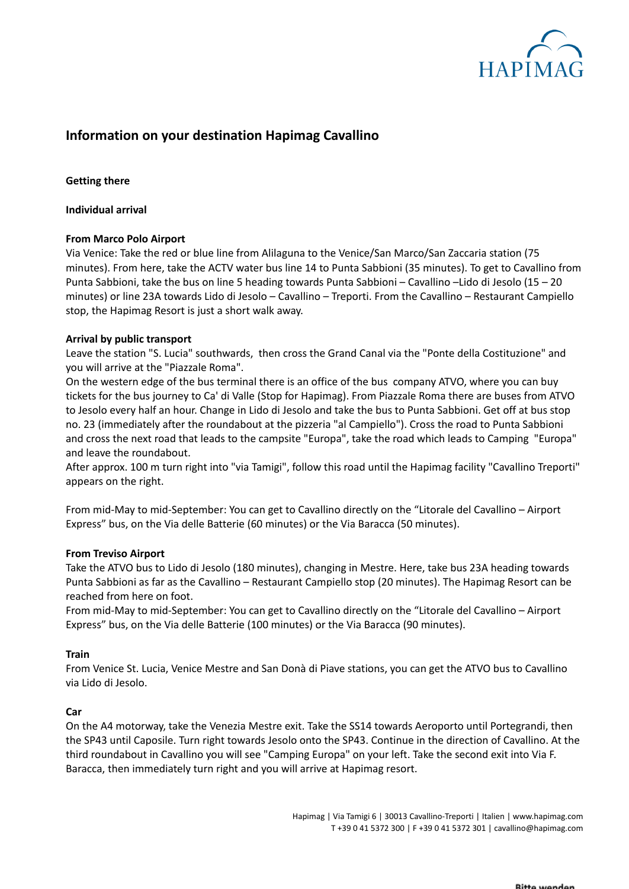

# **Information on your destination Hapimag Cavallino**

# **Getting there**

## **Individual arrival**

## **From Marco Polo Airport**

Via Venice: Take the red or blue line from Alilaguna to the Venice/San Marco/San Zaccaria station (75 minutes). From here, take the ACTV water bus line 14 to Punta Sabbioni (35 minutes). To get to Cavallino from Punta Sabbioni, take the bus on line 5 heading towards Punta Sabbioni – Cavallino –Lido di Jesolo (15 – 20 minutes) or line 23A towards Lido di Jesolo – Cavallino – Treporti. From the Cavallino – Restaurant Campiello stop, the Hapimag Resort is just a short walk away.

## **Arrival by public transport**

Leave the station "S. Lucia" southwards, then cross the Grand Canal via the "Ponte della Costituzione" and you will arrive at the "Piazzale Roma".

On the western edge of the bus terminal there is an office of the bus company ATVO, where you can buy tickets for the bus journey to Ca' di Valle (Stop for Hapimag). From Piazzale Roma there are buses from ATVO to Jesolo every half an hour. Change in Lido di Jesolo and take the bus to Punta Sabbioni. Get off at bus stop no. 23 (immediately after the roundabout at the pizzeria "al Campiello"). Cross the road to Punta Sabbioni and cross the next road that leads to the campsite "Europa", take the road which leads to Camping "Europa" and leave the roundabout.

After approx. 100 m turn right into "via Tamigi", follow this road until the Hapimag facility "Cavallino Treporti" appears on the right.

From mid-May to mid-September: You can get to Cavallino directly on the "Litorale del Cavallino – Airport Express" bus, on the Via delle Batterie (60 minutes) or the Via Baracca (50 minutes).

### **From Treviso Airport**

Take the ATVO bus to Lido di Jesolo (180 minutes), changing in Mestre. Here, take bus 23A heading towards Punta Sabbioni as far as the Cavallino – Restaurant Campiello stop (20 minutes). The Hapimag Resort can be reached from here on foot.

From mid-May to mid-September: You can get to Cavallino directly on the "Litorale del Cavallino – Airport Express" bus, on the Via delle Batterie (100 minutes) or the Via Baracca (90 minutes).

### **Train**

From Venice St. Lucia, Venice Mestre and San Donà di Piave stations, you can get the ATVO bus to Cavallino via Lido di Jesolo.

### **Car**

On the A4 motorway, take the Venezia Mestre exit. Take the SS14 towards Aeroporto until Portegrandi, then the SP43 until Caposile. Turn right towards Jesolo onto the SP43. Continue in the direction of Cavallino. At the third roundabout in Cavallino you will see "Camping Europa" on your left. Take the second exit into Via F. Baracca, then immediately turn right and you will arrive at Hapimag resort.